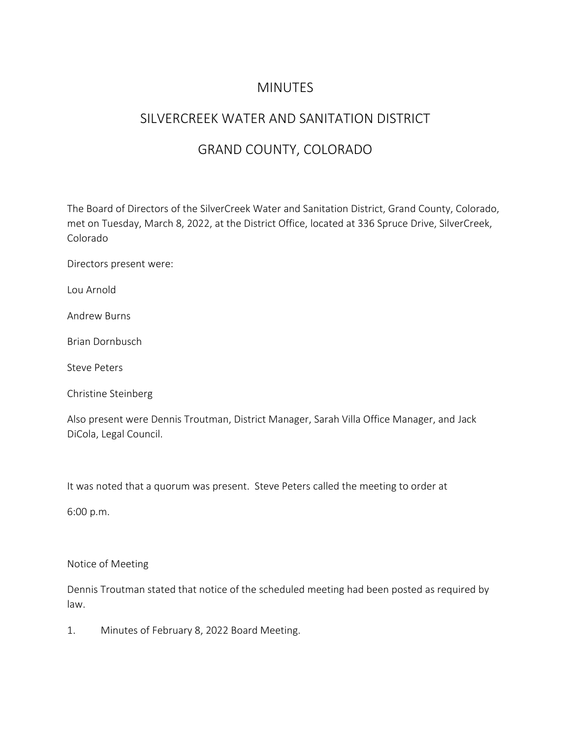### **MINUTES**

# SILVERCREEK WATER AND SANITATION DISTRICT

# GRAND COUNTY, COLORADO

The Board of Directors of the SilverCreek Water and Sanitation District, Grand County, Colorado, met on Tuesday, March 8, 2022, at the District Office, located at 336 Spruce Drive, SilverCreek, Colorado

Directors present were:

Lou Arnold

Andrew Burns

Brian Dornbusch

Steve Peters

Christine Steinberg

Also present were Dennis Troutman, District Manager, Sarah Villa Office Manager, and Jack DiCola, Legal Council.

It was noted that a quorum was present. Steve Peters called the meeting to order at

6:00 p.m.

Notice of Meeting

Dennis Troutman stated that notice of the scheduled meeting had been posted as required by law.

1. Minutes of February 8, 2022 Board Meeting.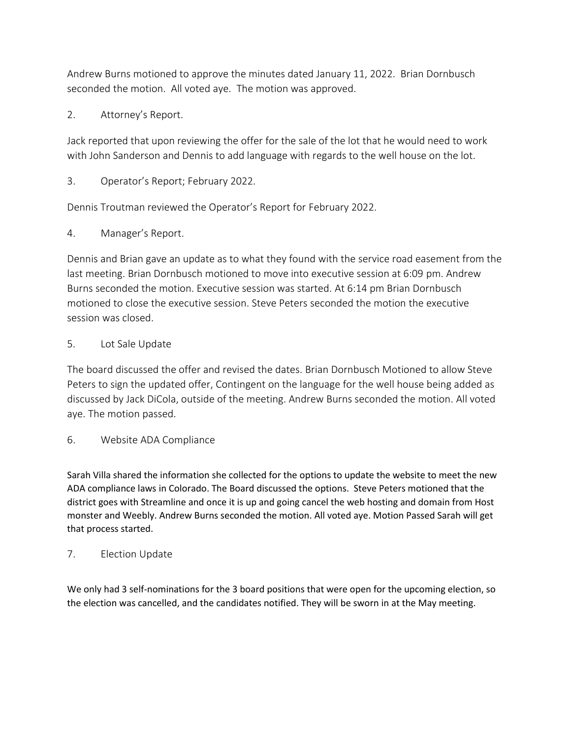Andrew Burns motioned to approve the minutes dated January 11, 2022. Brian Dornbusch seconded the motion. All voted aye. The motion was approved.

2. Attorney's Report.

Jack reported that upon reviewing the offer for the sale of the lot that he would need to work with John Sanderson and Dennis to add language with regards to the well house on the lot.

3. Operator's Report; February 2022.

Dennis Troutman reviewed the Operator's Report for February 2022.

4. Manager's Report.

Dennis and Brian gave an update as to what they found with the service road easement from the last meeting. Brian Dornbusch motioned to move into executive session at 6:09 pm. Andrew Burns seconded the motion. Executive session was started. At 6:14 pm Brian Dornbusch motioned to close the executive session. Steve Peters seconded the motion the executive session was closed.

#### 5. Lot Sale Update

The board discussed the offer and revised the dates. Brian Dornbusch Motioned to allow Steve Peters to sign the updated offer, Contingent on the language for the well house being added as discussed by Jack DiCola, outside of the meeting. Andrew Burns seconded the motion. All voted aye. The motion passed.

6. Website ADA Compliance

Sarah Villa shared the information she collected for the options to update the website to meet the new ADA compliance laws in Colorado. The Board discussed the options. Steve Peters motioned that the district goes with Streamline and once it is up and going cancel the web hosting and domain from Host monster and Weebly. Andrew Burns seconded the motion. All voted aye. Motion Passed Sarah will get that process started.

#### 7. Election Update

We only had 3 self-nominations for the 3 board positions that were open for the upcoming election, so the election was cancelled, and the candidates notified. They will be sworn in at the May meeting.